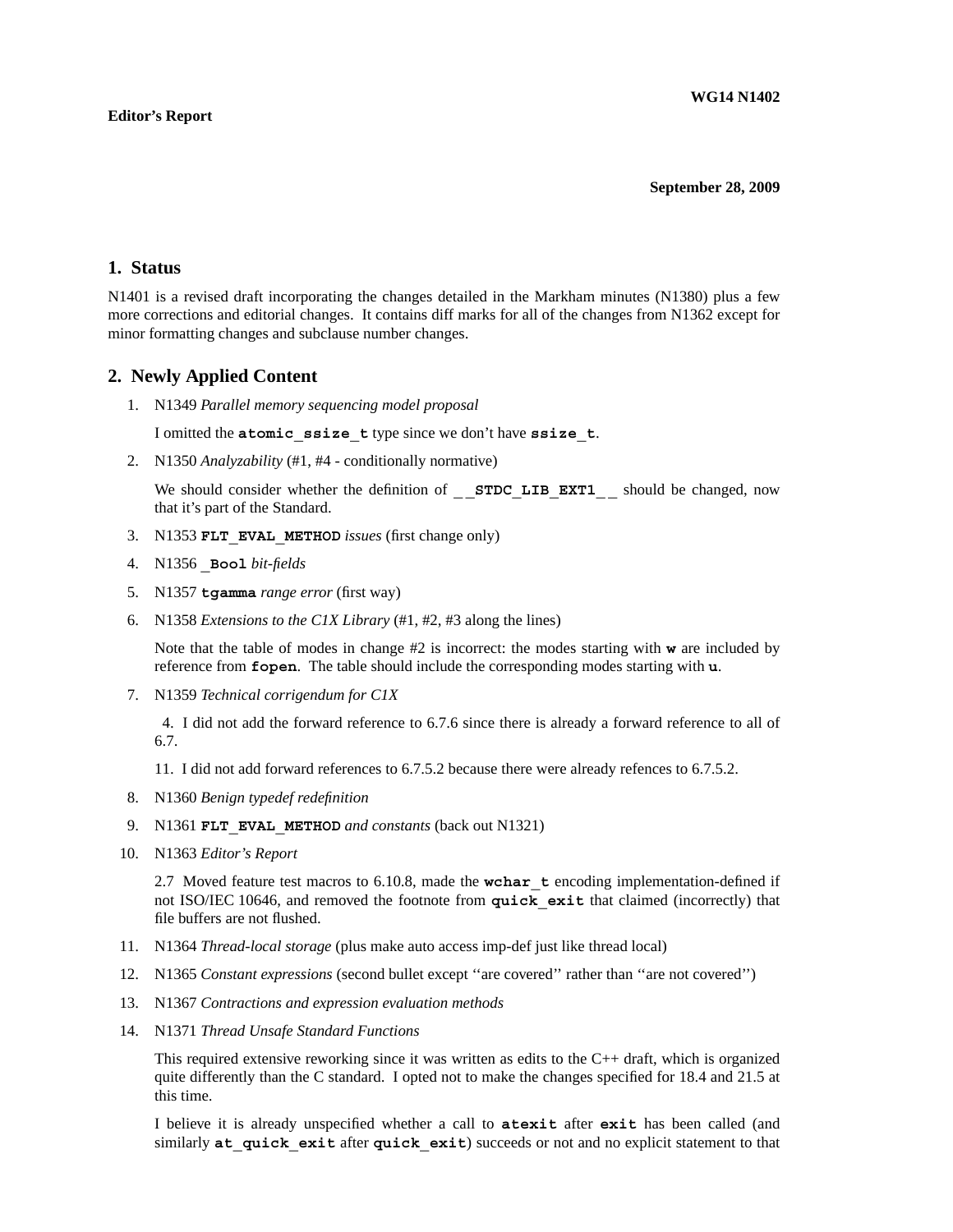**September 28, 2009**

## **1. Status**

N1401 is a revised draft incorporating the changes detailed in the Markham minutes (N1380) plus a few more corrections and editorial changes. It contains diff marks for all of the changes from N1362 except for minor formatting changes and subclause number changes.

## **2. Newly Applied Content**

1. N1349 *Parallel memory sequencing model proposal*

I omitted the **atomic\_ssize\_t** type since we don't hav e **ssize\_t**.

2. N1350 *Analyzability* (#1, #4 - conditionally normative)

We should consider whether the definition of **STDC LIB EXT1** should be changed, now that it's part of the Standard.

- 3. N1353 **FLT\_EVAL\_METHOD** *issues* (first change only)
- 4. N1356 **\_Bool** *bit-fields*
- 5. N1357 **tgamma** *range error* (first way)
- 6. N1358 *Extensions to the C1X Library* (#1, #2, #3 along the lines)

Note that the table of modes in change #2 is incorrect: the modes starting with **w** are included by reference from **fopen**. The table should include the corresponding modes starting with **u**.

7. N1359 *Technical corrigendum for C1X*

4. I did not add the forward reference to 6.7.6 since there is already a forward reference to all of 6.7.

11. I did not add forward references to 6.7.5.2 because there were already refences to 6.7.5.2.

- 8. N1360 *Benign typedef redefinition*
- 9. N1361 **FLT\_EVAL\_METHOD** *and constants* (back out N1321)
- 10. N1363 *Editor's Report*

2.7 Moved feature test macros to 6.10.8, made the **wchar** t encoding implementation-defined if not ISO/IEC 10646, and removed the footnote from **quick\_exit** that claimed (incorrectly) that file buffers are not flushed.

- 11. N1364 *Thread-local storage* (plus make auto access imp-def just like thread local)
- 12. N1365 *Constant expressions* (second bullet except ''are covered'' rather than ''are not covered'')
- 13. N1367 *Contractions and expression evaluation methods*
- 14. N1371 *Thread Unsafe Standard Functions*

This required extensive reworking since it was written as edits to the  $C_{++}$  draft, which is organized quite differently than the C standard. I opted not to make the changes specified for 18.4 and 21.5 at this time.

I believe it is already unspecified whether a call to **atexit** after **exit** has been called (and similarly **at** quick exit after quick exit) succeeds or not and no explicit statement to that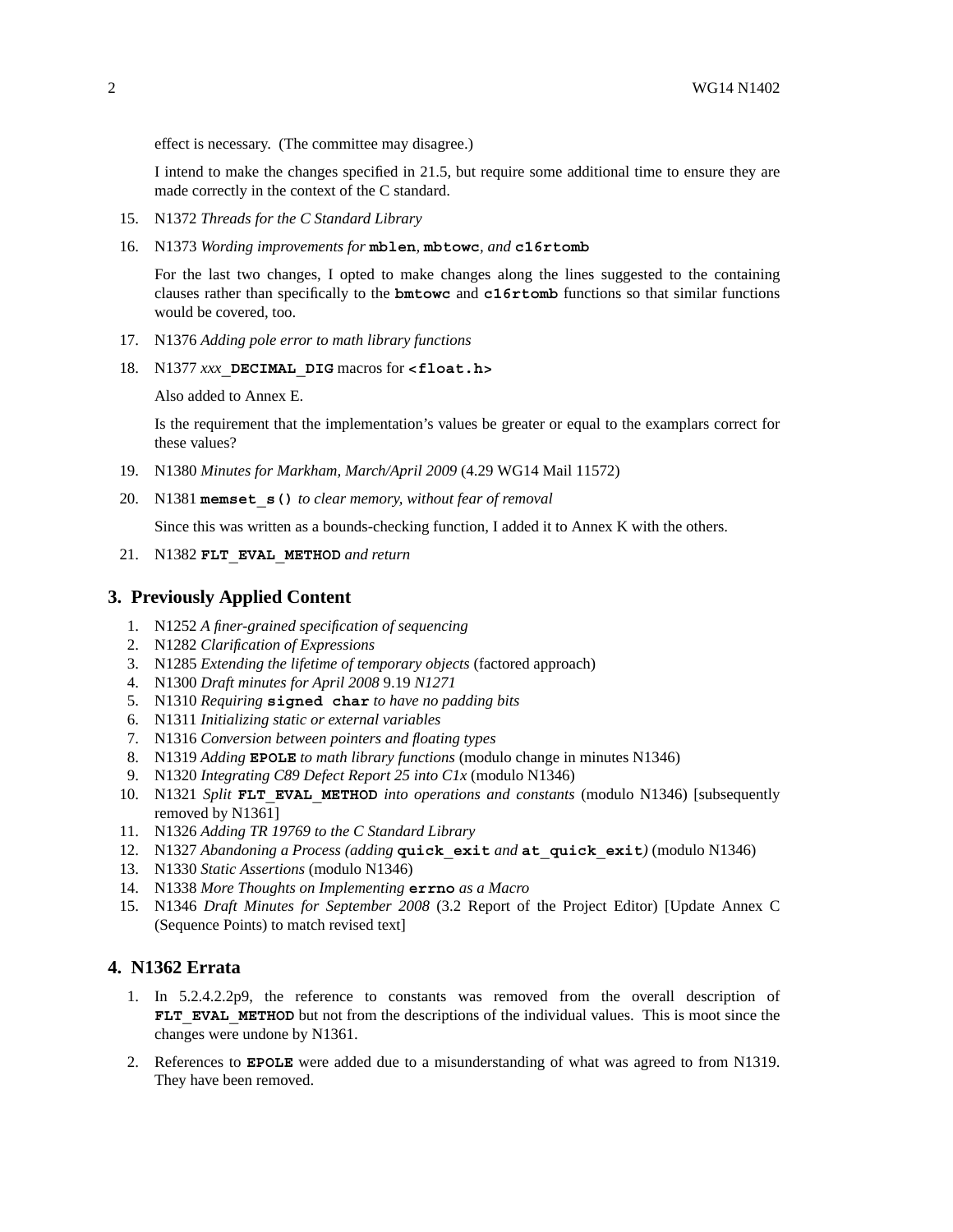effect is necessary. (The committee may disagree.)

I intend to make the changes specified in 21.5, but require some additional time to ensure they are made correctly in the context of the C standard.

- 15. N1372 *Threads for the C Standard Library*
- 16. N1373 *Wording improvements for* **mblen***,* **mbtowc***, and* **c16rtomb**

For the last two changes, I opted to make changes along the lines suggested to the containing clauses rather than specifically to the **bmtowc** and **c16rtomb** functions so that similar functions would be covered, too.

- 17. N1376 *Adding pole error to math library functions*
- 18. N1377 *xxx***\_DECIMAL\_DIG** macros for **<float.h>**

Also added to Annex E.

Is the requirement that the implementation's values be greater or equal to the examplars correct for these values?

- 19. N1380 *Minutes for Markham, March/April 2009* (4.29 WG14 Mail 11572)
- 20. N1381 **memset\_s()** *to clear memory, without fear of removal*

Since this was written as a bounds-checking function, I added it to Annex K with the others.

21. N1382 **FLT\_EVAL\_METHOD** *and return*

#### **3. Previously Applied Content**

- 1. N1252 *A finer-grained specification of sequencing*
- 2. N1282 *Clarification of Expressions*
- 3. N1285 *Extending the lifetime of temporary objects* (factored approach)
- 4. N1300 *Draft minutes for April 2008* 9.19 *N1271*
- 5. N1310 *Requiring* **signed char** *to have no padding bits*
- 6. N1311 *Initializing static or external variables*
- 7. N1316 *Conversion between pointers and floating types*
- 8. N1319 *Adding* **EPOLE** *to math library functions* (modulo change in minutes N1346)
- 9. N1320 *Integrating C89 Defect Report 25 into C1x* (modulo N1346)
- 10. N1321 *Split* **FLT\_EVAL\_METHOD** *into operations and constants* (modulo N1346) [subsequently removed by N1361]
- 11. N1326 *Adding TR 19769 to the C Standard Library*
- 12. N1327 *Abandoning a Process (adding* **quick\_exit** *and* **at\_quick\_exit***)* (modulo N1346)
- 13. N1330 *Static Assertions* (modulo N1346)
- 14. N1338 *More Thoughts on Implementing* **errno** *as a Macro*
- 15. N1346 *Draft Minutes for September 2008* (3.2 Report of the Project Editor) [Update Annex C (Sequence Points) to match revised text]

## **4. N1362 Errata**

- 1. In 5.2.4.2.2p9, the reference to constants was removed from the overall description of FLT EVAL METHOD but not from the descriptions of the individual values. This is moot since the changes were undone by N1361.
- 2. References to **EPOLE** were added due to a misunderstanding of what was agreed to from N1319. They have been removed.